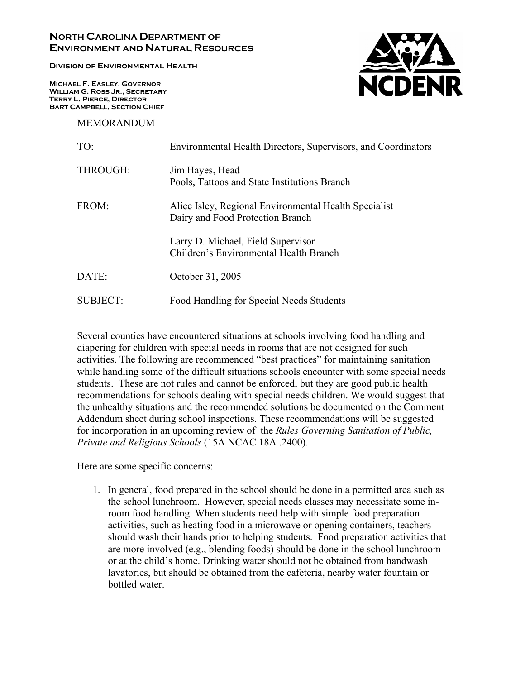## **NORTH CAROLINA DEPARTMENT OF ENVIRONMENT AND NATURAL RESOURCES**

**Division of Environmental Health** 

**Michael F. Easley, Governor William G. Ross Jr., Secretary Terry L. Pierce, Director Bart Campbell, Section Chief** 

MEMORANDUM



| TO:      | Environmental Health Directors, Supervisors, and Coordinators                             |
|----------|-------------------------------------------------------------------------------------------|
| THROUGH: | Jim Hayes, Head<br>Pools, Tattoos and State Institutions Branch                           |
| FROM:    | Alice Isley, Regional Environmental Health Specialist<br>Dairy and Food Protection Branch |
|          | Larry D. Michael, Field Supervisor<br>Children's Environmental Health Branch              |
| DATE:    | October 31, 2005                                                                          |
| SUBJECT: | Food Handling for Special Needs Students                                                  |

Several counties have encountered situations at schools involving food handling and diapering for children with special needs in rooms that are not designed for such activities. The following are recommended "best practices" for maintaining sanitation while handling some of the difficult situations schools encounter with some special needs students. These are not rules and cannot be enforced, but they are good public health recommendations for schools dealing with special needs children. We would suggest that the unhealthy situations and the recommended solutions be documented on the Comment Addendum sheet during school inspections. These recommendations will be suggested for incorporation in an upcoming review of the *Rules Governing Sanitation of Public, Private and Religious Schools* (15A NCAC 18A .2400).

Here are some specific concerns:

1. In general, food prepared in the school should be done in a permitted area such as the school lunchroom. However, special needs classes may necessitate some inroom food handling. When students need help with simple food preparation activities, such as heating food in a microwave or opening containers, teachers should wash their hands prior to helping students. Food preparation activities that are more involved (e.g., blending foods) should be done in the school lunchroom or at the child's home. Drinking water should not be obtained from handwash lavatories, but should be obtained from the cafeteria, nearby water fountain or bottled water.